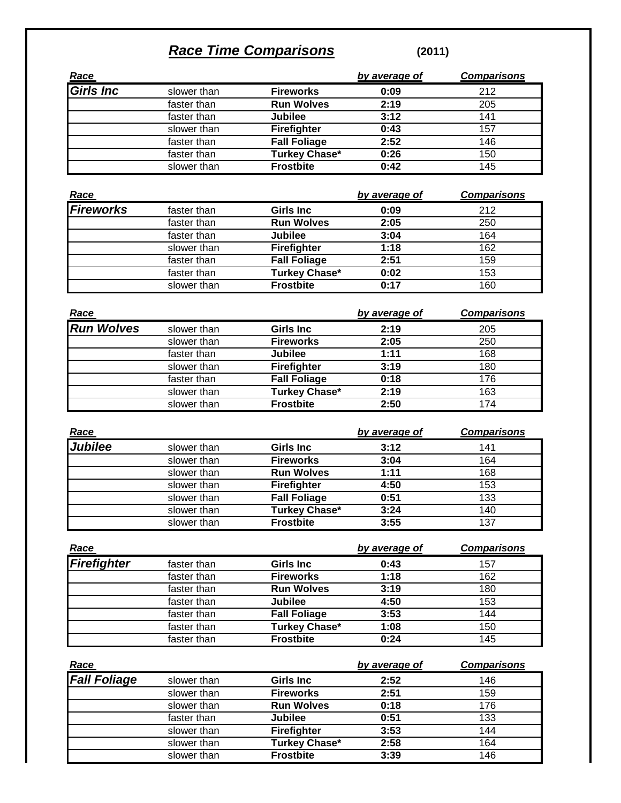## *Race Time Comparisons* **(2011)**

|                          |             |                     | by average of | <b>Comparisons</b> |
|--------------------------|-------------|---------------------|---------------|--------------------|
| <u>Race</u><br>Girls Inc | slower than | <b>Fireworks</b>    | 0:09          | 212                |
|                          | faster than | <b>Run Wolves</b>   | 2:19          | 205                |
|                          | faster than | <b>Jubilee</b>      | 3:12          | 141                |
|                          | slower than | <b>Firefighter</b>  | 0:43          | 157                |
|                          | faster than | <b>Fall Foliage</b> | 2:52          | 146                |
|                          | faster than | Turkey Chase*       | 0:26          | 150                |
|                          | slower than | <b>Frostbite</b>    | 0:42          | 145                |
|                          |             |                     |               |                    |

| <u>Race</u>      |             |                      | by average of | <b>Comparisons</b> |
|------------------|-------------|----------------------|---------------|--------------------|
| <b>Fireworks</b> | faster than | <b>Girls Inc.</b>    | 0:09          | 212                |
|                  | faster than | <b>Run Wolves</b>    | 2:05          | 250                |
|                  | faster than | <b>Jubilee</b>       | 3:04          | 164                |
|                  | slower than | <b>Firefighter</b>   | 1:18          | 162                |
|                  | faster than | <b>Fall Foliage</b>  | 2:51          | 159                |
|                  | faster than | <b>Turkey Chase*</b> | 0:02          | 153                |
|                  | slower than | <b>Frostbite</b>     | 0:17          | 160                |

| Race              |             |                      | by average of | <b>Comparisons</b> |
|-------------------|-------------|----------------------|---------------|--------------------|
| <b>Run Wolves</b> | slower than | <b>Girls Inc.</b>    | 2:19          | 205                |
|                   | slower than | <b>Fireworks</b>     | 2:05          | 250                |
|                   | faster than | <b>Jubilee</b>       | 1:11          | 168                |
|                   | slower than | <b>Firefighter</b>   | 3:19          | 180                |
|                   | faster than | <b>Fall Foliage</b>  | 0:18          | 176                |
|                   | slower than | <b>Turkey Chase*</b> | 2:19          | 163                |
|                   | slower than | <b>Frostbite</b>     | 2:50          | 174                |

| <u>Race</u>    |             |                     | by average of | <b>Comparisons</b> |
|----------------|-------------|---------------------|---------------|--------------------|
| <b>Jubilee</b> | slower than | <b>Girls Inc</b>    | 3:12          | 141                |
|                | slower than | <b>Fireworks</b>    | 3:04          | 164                |
|                | slower than | <b>Run Wolves</b>   | 1:11          | 168                |
|                | slower than | <b>Firefighter</b>  | 4:50          | 153                |
|                | slower than | <b>Fall Foliage</b> | 0:51          | 133                |
|                | slower than | Turkey Chase*       | 3:24          | 140                |
|                | slower than | <b>Frostbite</b>    | 3:55          | 137                |

| <u>Race</u> |             |                      | by average of | <b>Comparisons</b> |
|-------------|-------------|----------------------|---------------|--------------------|
| Firefighter | faster than | <b>Girls Inc</b>     | 0:43          | 157                |
|             | faster than | <b>Fireworks</b>     | 1:18          | 162                |
|             | faster than | <b>Run Wolves</b>    | 3:19          | 180                |
|             | faster than | <b>Jubilee</b>       | 4:50          | 153                |
|             | faster than | <b>Fall Foliage</b>  | 3:53          | 144                |
|             | faster than | <b>Turkey Chase*</b> | 1:08          | 150                |
|             | faster than | <b>Frostbite</b>     | 0:24          | 145                |

| Race                |             |                   | by average of | <b>Comparisons</b> |
|---------------------|-------------|-------------------|---------------|--------------------|
| <b>Fall Foliage</b> | slower than | Girls Inc         | 2:52          | 146                |
|                     | slower than | <b>Fireworks</b>  | 2:51          | 159                |
|                     | slower than | <b>Run Wolves</b> | 0:18          | 176                |
|                     | faster than | <b>Jubilee</b>    | 0:51          | 133                |
|                     | slower than | Firefighter       | 3:53          | 144                |
|                     | slower than | Turkey Chase*     | 2:58          | 164                |
|                     | slower than | <b>Frostbite</b>  | 3:39          | 146                |